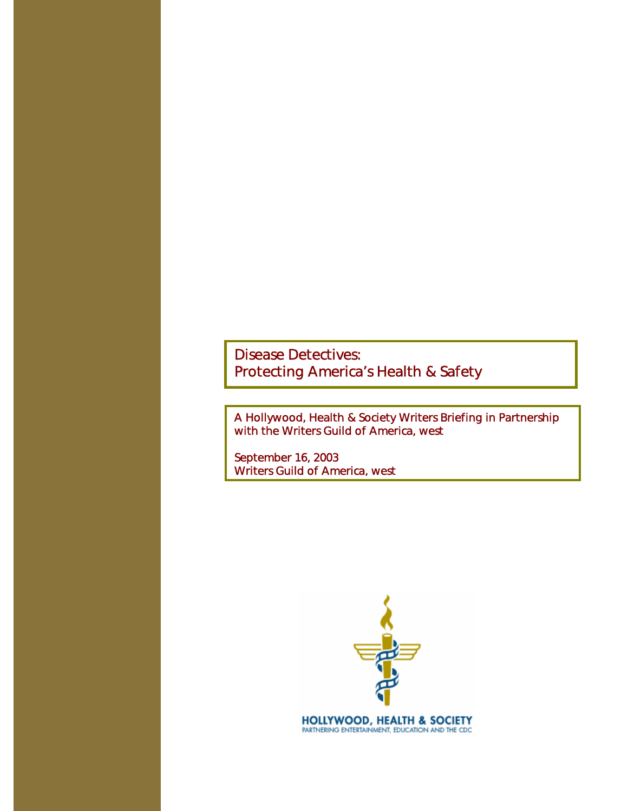A Hollywood, Health & Society Writers Briefing in Partnership with the Writers Guild of America, west

September 16, 2003 Writers Guild of America, west

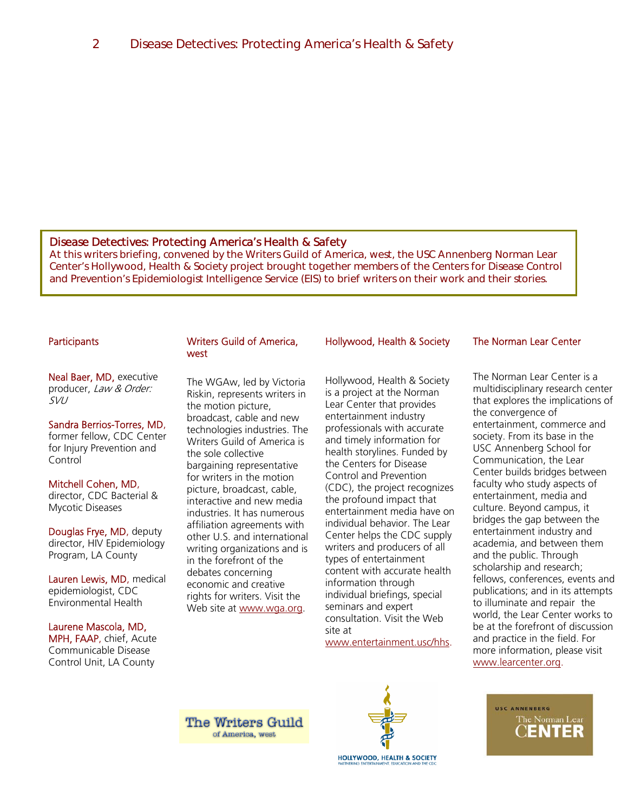At this writers briefing, convened by the Writers Guild of America, west, the USC Annenberg Norman Lear Center's Hollywood, Health & Society project brought together members of the Centers for Disease Control and Prevention's Epidemiologist Intelligence Service (EIS) to brief writers on their work and their stories.

## **Participants**

Neal Baer, MD, executive producer, Law & Order: SVU

#### Sandra Berrios-Torres, MD,

former fellow, CDC Center for Injury Prevention and Control

#### Mitchell Cohen, MD, director, CDC Bacterial &

Mycotic Diseases

Douglas Frye, MD, deputy director, HIV Epidemiology Program, LA County

Lauren Lewis, MD, medical epidemiologist, CDC Environmental Health

#### Laurene Mascola, MD,

MPH, FAAP, chief, Acute Communicable Disease Control Unit, LA County

#### Writers Guild of America, west

The WGAw, led by Victoria Riskin, represents writers in the motion picture, broadcast, cable and new technologies industries. The Writers Guild of America is the sole collective bargaining representative for writers in the motion picture, broadcast, cable, interactive and new media industries. It has numerous affiliation agreements with other U.S. and international writing organizations and is in the forefront of the debates concerning economic and creative rights for writers. Visit the Web site at www.wga.org.

# Hollywood, Health & Society

Hollywood, Health & Society is a project at the Norman Lear Center that provides entertainment industry professionals with accurate and timely information for health storylines. Funded by the Centers for Disease Control and Prevention (CDC), the project recognizes the profound impact that entertainment media have on individual behavior. The Lear Center helps the CDC supply writers and producers of all types of entertainment content with accurate health information through individual briefings, special seminars and expert consultation. Visit the Web site at

www.entertainment.usc/hhs.

# The Norman Lear Center

The Norman Lear Center is a multidisciplinary research center that explores the implications of the convergence of entertainment, commerce and society. From its base in the USC Annenberg School for Communication, the Lear Center builds bridges between faculty who study aspects of entertainment, media and culture. Beyond campus, it bridges the gap between the entertainment industry and academia, and between them and the public. Through scholarship and research; fellows, conferences, events and publications; and in its attempts to illuminate and repair the world, the Lear Center works to be at the forefront of discussion and practice in the field. For more information, please visit www.learcenter.org.

USC ANNENBERG

The Norman Lear

IENTER

**The Writers Guild** of America, west



**HOLLYWOOD, HEALTH & SOCIETY**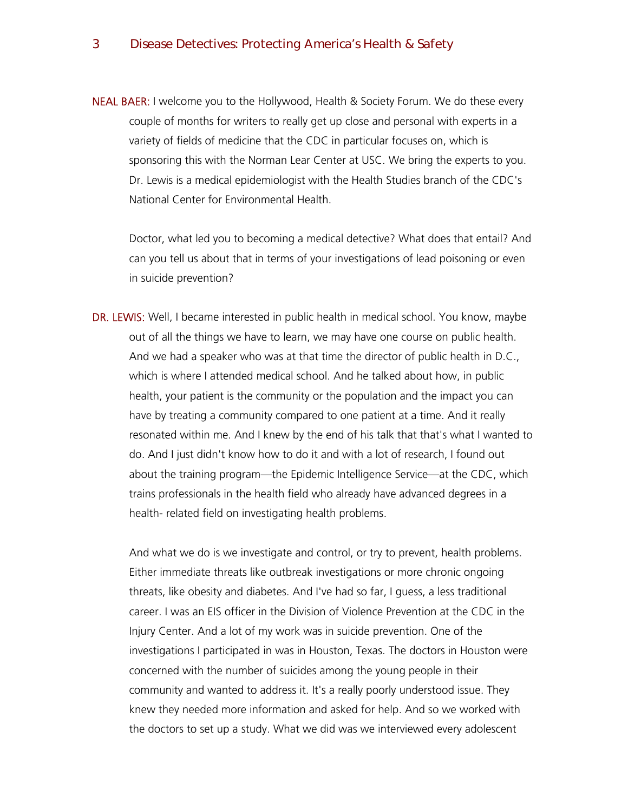NEAL BAER: I welcome you to the Hollywood, Health & Society Forum. We do these every couple of months for writers to really get up close and personal with experts in a variety of fields of medicine that the CDC in particular focuses on, which is sponsoring this with the Norman Lear Center at USC. We bring the experts to you. Dr. Lewis is a medical epidemiologist with the Health Studies branch of the CDC's National Center for Environmental Health.

Doctor, what led you to becoming a medical detective? What does that entail? And can you tell us about that in terms of your investigations of lead poisoning or even in suicide prevention?

DR. LEWIS: Well, I became interested in public health in medical school. You know, maybe out of all the things we have to learn, we may have one course on public health. And we had a speaker who was at that time the director of public health in D.C., which is where I attended medical school. And he talked about how, in public health, your patient is the community or the population and the impact you can have by treating a community compared to one patient at a time. And it really resonated within me. And I knew by the end of his talk that that's what I wanted to do. And I just didn't know how to do it and with a lot of research, I found out about the training program—the Epidemic Intelligence Service—at the CDC, which trains professionals in the health field who already have advanced degrees in a health- related field on investigating health problems.

And what we do is we investigate and control, or try to prevent, health problems. Either immediate threats like outbreak investigations or more chronic ongoing threats, like obesity and diabetes. And I've had so far, I guess, a less traditional career. I was an EIS officer in the Division of Violence Prevention at the CDC in the Injury Center. And a lot of my work was in suicide prevention. One of the investigations I participated in was in Houston, Texas. The doctors in Houston were concerned with the number of suicides among the young people in their community and wanted to address it. It's a really poorly understood issue. They knew they needed more information and asked for help. And so we worked with the doctors to set up a study. What we did was we interviewed every adolescent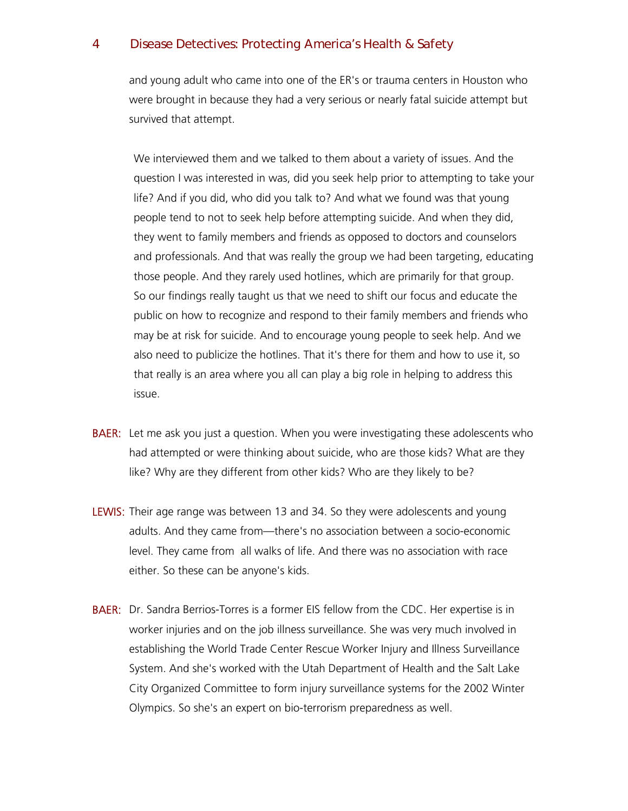and young adult who came into one of the ER's or trauma centers in Houston who were brought in because they had a very serious or nearly fatal suicide attempt but survived that attempt.

We interviewed them and we talked to them about a variety of issues. And the question I was interested in was, did you seek help prior to attempting to take your life? And if you did, who did you talk to? And what we found was that young people tend to not to seek help before attempting suicide. And when they did, they went to family members and friends as opposed to doctors and counselors and professionals. And that was really the group we had been targeting, educating those people. And they rarely used hotlines, which are primarily for that group. So our findings really taught us that we need to shift our focus and educate the public on how to recognize and respond to their family members and friends who may be at risk for suicide. And to encourage young people to seek help. And we also need to publicize the hotlines. That it's there for them and how to use it, so that really is an area where you all can play a big role in helping to address this issue.

- **BAER:** Let me ask you just a question. When you were investigating these adolescents who had attempted or were thinking about suicide, who are those kids? What are they like? Why are they different from other kids? Who are they likely to be?
- LEWIS: Their age range was between 13 and 34. So they were adolescents and young adults. And they came from—there's no association between a socio-economic level. They came from all walks of life. And there was no association with race either. So these can be anyone's kids.
- BAER: Dr. Sandra Berrios-Torres is a former EIS fellow from the CDC. Her expertise is in worker injuries and on the job illness surveillance. She was very much involved in establishing the World Trade Center Rescue Worker Injury and Illness Surveillance System. And she's worked with the Utah Department of Health and the Salt Lake City Organized Committee to form injury surveillance systems for the 2002 Winter Olympics. So she's an expert on bio-terrorism preparedness as well.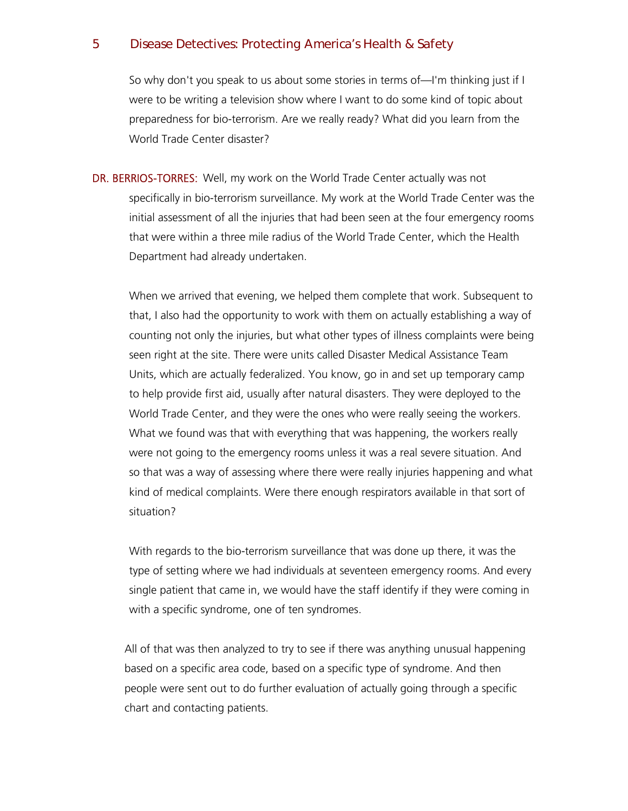So why don't you speak to us about some stories in terms of—I'm thinking just if I were to be writing a television show where I want to do some kind of topic about preparedness for bio-terrorism. Are we really ready? What did you learn from the World Trade Center disaster?

DR. BERRIOS-TORRES: Well, my work on the World Trade Center actually was not specifically in bio-terrorism surveillance. My work at the World Trade Center was the initial assessment of all the injuries that had been seen at the four emergency rooms that were within a three mile radius of the World Trade Center, which the Health Department had already undertaken.

When we arrived that evening, we helped them complete that work. Subsequent to that, I also had the opportunity to work with them on actually establishing a way of counting not only the injuries, but what other types of illness complaints were being seen right at the site. There were units called Disaster Medical Assistance Team Units, which are actually federalized. You know, go in and set up temporary camp to help provide first aid, usually after natural disasters. They were deployed to the World Trade Center, and they were the ones who were really seeing the workers. What we found was that with everything that was happening, the workers really were not going to the emergency rooms unless it was a real severe situation. And so that was a way of assessing where there were really injuries happening and what kind of medical complaints. Were there enough respirators available in that sort of situation?

With regards to the bio-terrorism surveillance that was done up there, it was the type of setting where we had individuals at seventeen emergency rooms. And every single patient that came in, we would have the staff identify if they were coming in with a specific syndrome, one of ten syndromes.

All of that was then analyzed to try to see if there was anything unusual happening based on a specific area code, based on a specific type of syndrome. And then people were sent out to do further evaluation of actually going through a specific chart and contacting patients.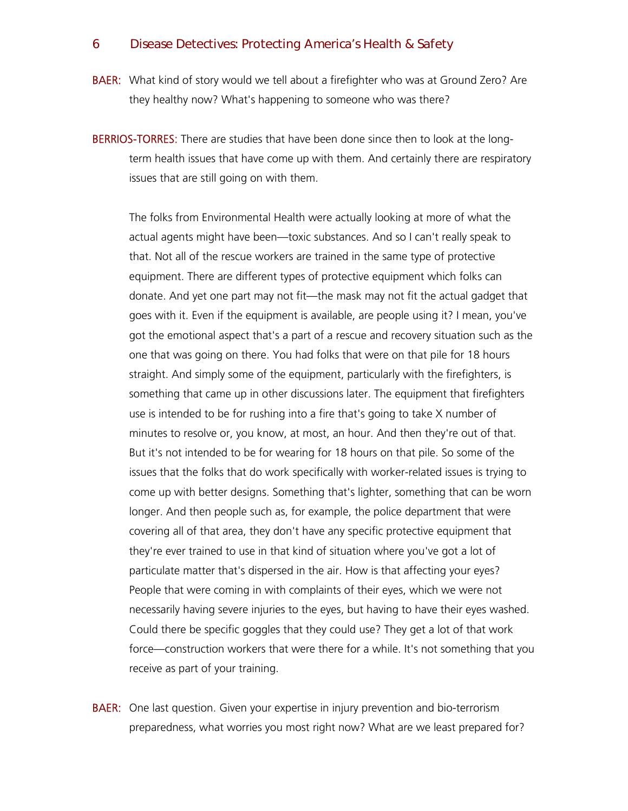BAER: What kind of story would we tell about a firefighter who was at Ground Zero? Are they healthy now? What's happening to someone who was there?

BERRIOS-TORRES: There are studies that have been done since then to look at the longterm health issues that have come up with them. And certainly there are respiratory issues that are still going on with them.

The folks from Environmental Health were actually looking at more of what the actual agents might have been—toxic substances. And so I can't really speak to that. Not all of the rescue workers are trained in the same type of protective equipment. There are different types of protective equipment which folks can donate. And yet one part may not fit—the mask may not fit the actual gadget that goes with it. Even if the equipment is available, are people using it? I mean, you've got the emotional aspect that's a part of a rescue and recovery situation such as the one that was going on there. You had folks that were on that pile for 18 hours straight. And simply some of the equipment, particularly with the firefighters, is something that came up in other discussions later. The equipment that firefighters use is intended to be for rushing into a fire that's going to take X number of minutes to resolve or, you know, at most, an hour. And then they're out of that. But it's not intended to be for wearing for 18 hours on that pile. So some of the issues that the folks that do work specifically with worker-related issues is trying to come up with better designs. Something that's lighter, something that can be worn longer. And then people such as, for example, the police department that were covering all of that area, they don't have any specific protective equipment that they're ever trained to use in that kind of situation where you've got a lot of particulate matter that's dispersed in the air. How is that affecting your eyes? People that were coming in with complaints of their eyes, which we were not necessarily having severe injuries to the eyes, but having to have their eyes washed. Could there be specific goggles that they could use? They get a lot of that work force—construction workers that were there for a while. It's not something that you receive as part of your training.

**BAER:** One last question. Given your expertise in injury prevention and bio-terrorism preparedness, what worries you most right now? What are we least prepared for?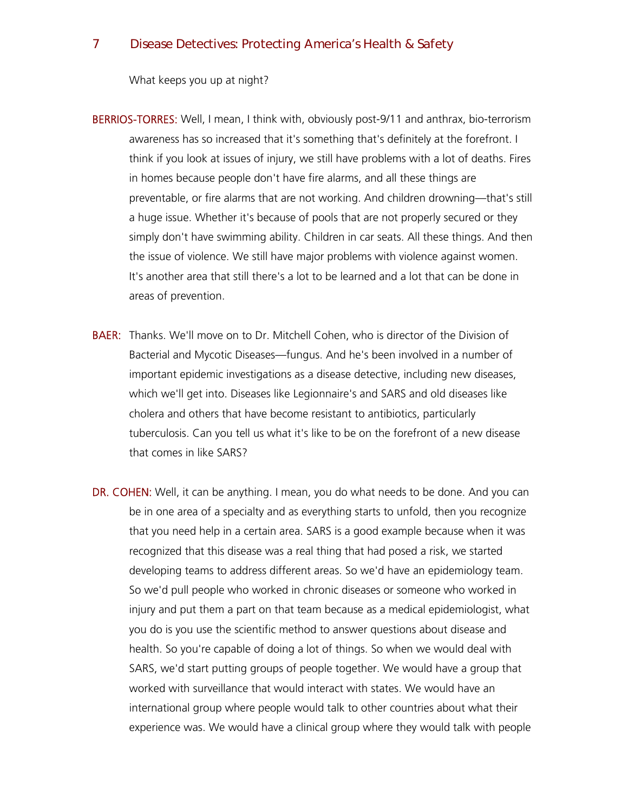What keeps you up at night?

- BERRIOS-TORRES: Well, I mean, I think with, obviously post-9/11 and anthrax, bio-terrorism awareness has so increased that it's something that's definitely at the forefront. I think if you look at issues of injury, we still have problems with a lot of deaths. Fires in homes because people don't have fire alarms, and all these things are preventable, or fire alarms that are not working. And children drowning—that's still a huge issue. Whether it's because of pools that are not properly secured or they simply don't have swimming ability. Children in car seats. All these things. And then the issue of violence. We still have major problems with violence against women. It's another area that still there's a lot to be learned and a lot that can be done in areas of prevention.
- BAER: Thanks. We'll move on to Dr. Mitchell Cohen, who is director of the Division of Bacterial and Mycotic Diseases—fungus. And he's been involved in a number of important epidemic investigations as a disease detective, including new diseases, which we'll get into. Diseases like Legionnaire's and SARS and old diseases like cholera and others that have become resistant to antibiotics, particularly tuberculosis. Can you tell us what it's like to be on the forefront of a new disease that comes in like SARS?
- DR. COHEN: Well, it can be anything. I mean, you do what needs to be done. And you can be in one area of a specialty and as everything starts to unfold, then you recognize that you need help in a certain area. SARS is a good example because when it was recognized that this disease was a real thing that had posed a risk, we started developing teams to address different areas. So we'd have an epidemiology team. So we'd pull people who worked in chronic diseases or someone who worked in injury and put them a part on that team because as a medical epidemiologist, what you do is you use the scientific method to answer questions about disease and health. So you're capable of doing a lot of things. So when we would deal with SARS, we'd start putting groups of people together. We would have a group that worked with surveillance that would interact with states. We would have an international group where people would talk to other countries about what their experience was. We would have a clinical group where they would talk with people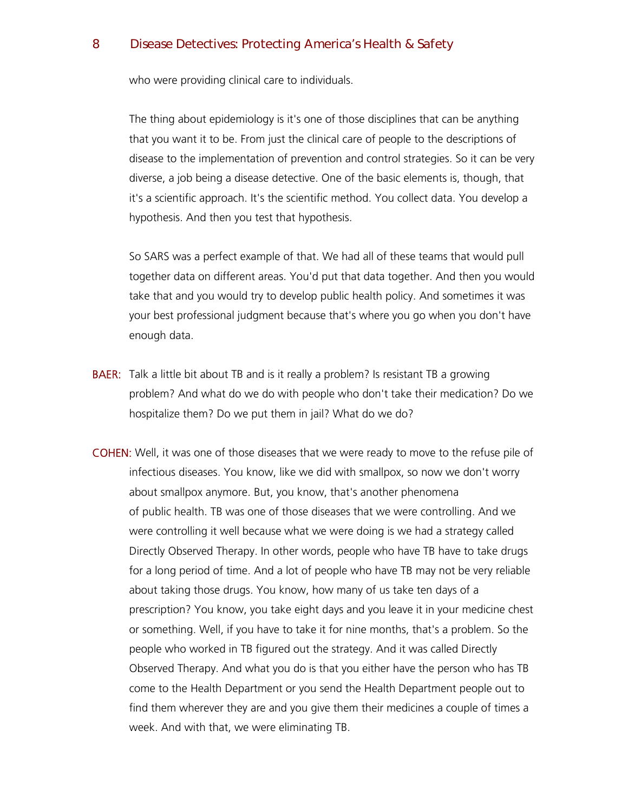who were providing clinical care to individuals.

The thing about epidemiology is it's one of those disciplines that can be anything that you want it to be. From just the clinical care of people to the descriptions of disease to the implementation of prevention and control strategies. So it can be very diverse, a job being a disease detective. One of the basic elements is, though, that it's a scientific approach. It's the scientific method. You collect data. You develop a hypothesis. And then you test that hypothesis.

So SARS was a perfect example of that. We had all of these teams that would pull together data on different areas. You'd put that data together. And then you would take that and you would try to develop public health policy. And sometimes it was your best professional judgment because that's where you go when you don't have enough data.

- **BAER:** Talk a little bit about TB and is it really a problem? Is resistant TB a growing problem? And what do we do with people who don't take their medication? Do we hospitalize them? Do we put them in jail? What do we do?
- COHEN: Well, it was one of those diseases that we were ready to move to the refuse pile of infectious diseases. You know, like we did with smallpox, so now we don't worry about smallpox anymore. But, you know, that's another phenomena of public health. TB was one of those diseases that we were controlling. And we were controlling it well because what we were doing is we had a strategy called Directly Observed Therapy. In other words, people who have TB have to take drugs for a long period of time. And a lot of people who have TB may not be very reliable about taking those drugs. You know, how many of us take ten days of a prescription? You know, you take eight days and you leave it in your medicine chest or something. Well, if you have to take it for nine months, that's a problem. So the people who worked in TB figured out the strategy. And it was called Directly Observed Therapy. And what you do is that you either have the person who has TB come to the Health Department or you send the Health Department people out to find them wherever they are and you give them their medicines a couple of times a week. And with that, we were eliminating TB.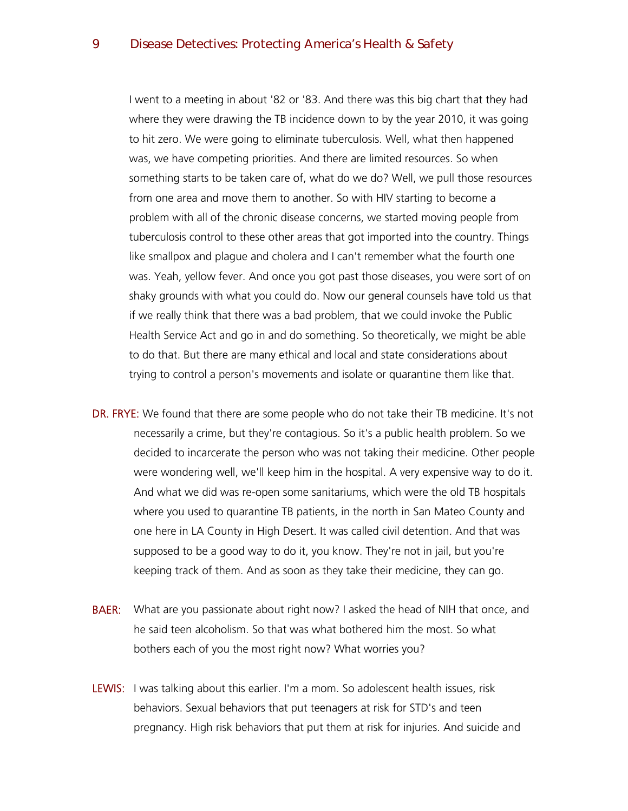I went to a meeting in about '82 or '83. And there was this big chart that they had where they were drawing the TB incidence down to by the year 2010, it was going to hit zero. We were going to eliminate tuberculosis. Well, what then happened was, we have competing priorities. And there are limited resources. So when something starts to be taken care of, what do we do? Well, we pull those resources from one area and move them to another. So with HIV starting to become a problem with all of the chronic disease concerns, we started moving people from tuberculosis control to these other areas that got imported into the country. Things like smallpox and plague and cholera and I can't remember what the fourth one was. Yeah, yellow fever. And once you got past those diseases, you were sort of on shaky grounds with what you could do. Now our general counsels have told us that if we really think that there was a bad problem, that we could invoke the Public Health Service Act and go in and do something. So theoretically, we might be able to do that. But there are many ethical and local and state considerations about trying to control a person's movements and isolate or quarantine them like that.

- DR. FRYE: We found that there are some people who do not take their TB medicine. It's not necessarily a crime, but they're contagious. So it's a public health problem. So we decided to incarcerate the person who was not taking their medicine. Other people were wondering well, we'll keep him in the hospital. A very expensive way to do it. And what we did was re-open some sanitariums, which were the old TB hospitals where you used to quarantine TB patients, in the north in San Mateo County and one here in LA County in High Desert. It was called civil detention. And that was supposed to be a good way to do it, you know. They're not in jail, but you're keeping track of them. And as soon as they take their medicine, they can go.
- **BAER:** What are you passionate about right now? I asked the head of NIH that once, and he said teen alcoholism. So that was what bothered him the most. So what bothers each of you the most right now? What worries you?
- LEWIS: I was talking about this earlier. I'm a mom. So adolescent health issues, risk behaviors. Sexual behaviors that put teenagers at risk for STD's and teen pregnancy. High risk behaviors that put them at risk for injuries. And suicide and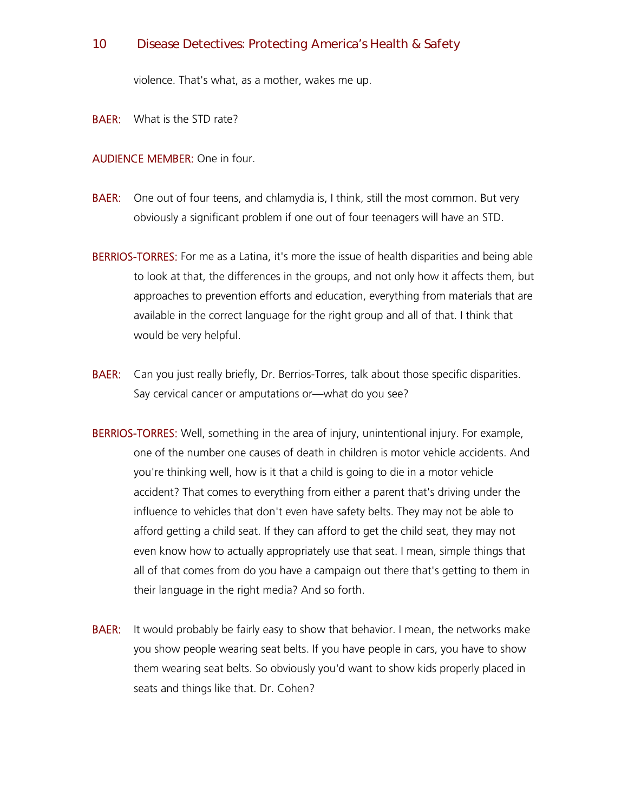violence. That's what, as a mother, wakes me up.

**BAER:** What is the STD rate?

## AUDIENCE MEMBER: One in four.

- **BAER:** One out of four teens, and chlamydia is, I think, still the most common. But very obviously a significant problem if one out of four teenagers will have an STD.
- **BERRIOS-TORRES:** For me as a Latina, it's more the issue of health disparities and being able to look at that, the differences in the groups, and not only how it affects them, but approaches to prevention efforts and education, everything from materials that are available in the correct language for the right group and all of that. I think that would be very helpful.
- **BAER:** Can you just really briefly, Dr. Berrios-Torres, talk about those specific disparities. Say cervical cancer or amputations or—what do you see?
- BERRIOS-TORRES: Well, something in the area of injury, unintentional injury. For example, one of the number one causes of death in children is motor vehicle accidents. And you're thinking well, how is it that a child is going to die in a motor vehicle accident? That comes to everything from either a parent that's driving under the influence to vehicles that don't even have safety belts. They may not be able to afford getting a child seat. If they can afford to get the child seat, they may not even know how to actually appropriately use that seat. I mean, simple things that all of that comes from do you have a campaign out there that's getting to them in their language in the right media? And so forth.
- **BAER:** It would probably be fairly easy to show that behavior. I mean, the networks make you show people wearing seat belts. If you have people in cars, you have to show them wearing seat belts. So obviously you'd want to show kids properly placed in seats and things like that. Dr. Cohen?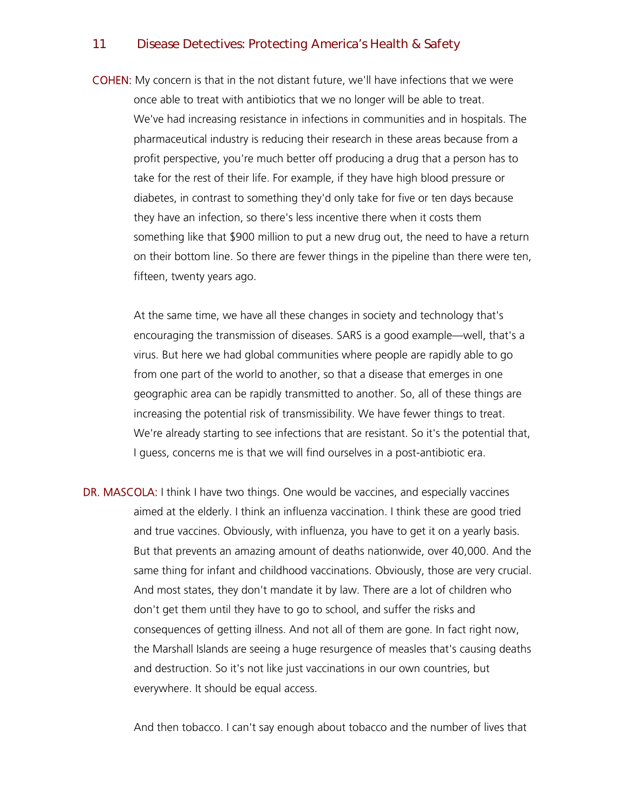COHEN: My concern is that in the not distant future, we'll have infections that we were once able to treat with antibiotics that we no longer will be able to treat. We've had increasing resistance in infections in communities and in hospitals. The pharmaceutical industry is reducing their research in these areas because from a profit perspective, you're much better off producing a drug that a person has to take for the rest of their life. For example, if they have high blood pressure or diabetes, in contrast to something they'd only take for five or ten days because they have an infection, so there's less incentive there when it costs them something like that \$900 million to put a new drug out, the need to have a return on their bottom line. So there are fewer things in the pipeline than there were ten, fifteen, twenty years ago.

At the same time, we have all these changes in society and technology that's encouraging the transmission of diseases. SARS is a good example—well, that's a virus. But here we had global communities where people are rapidly able to go from one part of the world to another, so that a disease that emerges in one geographic area can be rapidly transmitted to another. So, all of these things are increasing the potential risk of transmissibility. We have fewer things to treat. We're already starting to see infections that are resistant. So it's the potential that, I guess, concerns me is that we will find ourselves in a post-antibiotic era.

DR. MASCOLA: I think I have two things. One would be vaccines, and especially vaccines aimed at the elderly. I think an influenza vaccination. I think these are good tried and true vaccines. Obviously, with influenza, you have to get it on a yearly basis. But that prevents an amazing amount of deaths nationwide, over 40,000. And the same thing for infant and childhood vaccinations. Obviously, those are very crucial. And most states, they don't mandate it by law. There are a lot of children who don't get them until they have to go to school, and suffer the risks and consequences of getting illness. And not all of them are gone. In fact right now, the Marshall Islands are seeing a huge resurgence of measles that's causing deaths and destruction. So it's not like just vaccinations in our own countries, but everywhere. It should be equal access.

And then tobacco. I can't say enough about tobacco and the number of lives that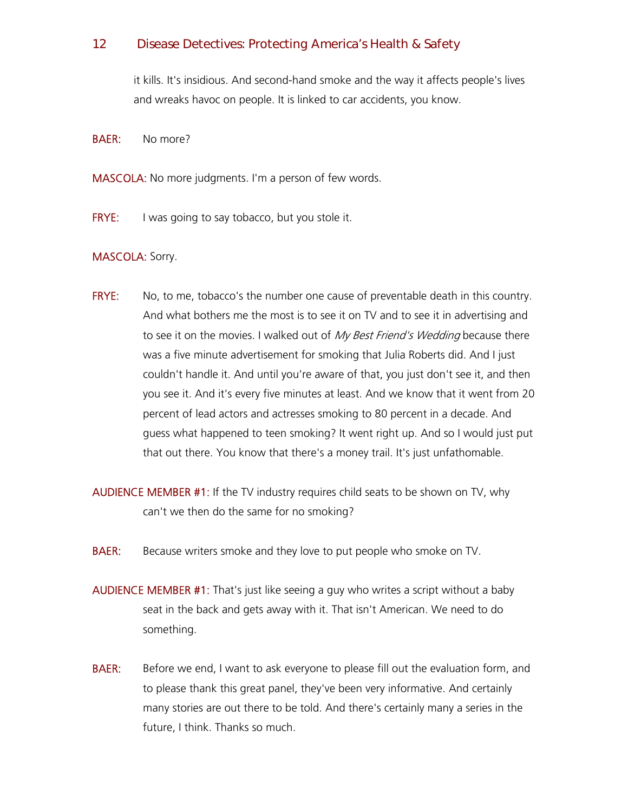it kills. It's insidious. And second-hand smoke and the way it affects people's lives and wreaks havoc on people. It is linked to car accidents, you know.

BAER: No more?

MASCOLA: No more judgments. I'm a person of few words.

**FRYE:** I was going to say tobacco, but you stole it.

## MASCOLA: Sorry.

- FRYE: No, to me, tobacco's the number one cause of preventable death in this country. And what bothers me the most is to see it on TV and to see it in advertising and to see it on the movies. I walked out of My Best Friend's Wedding because there was a five minute advertisement for smoking that Julia Roberts did. And I just couldn't handle it. And until you're aware of that, you just don't see it, and then you see it. And it's every five minutes at least. And we know that it went from 20 percent of lead actors and actresses smoking to 80 percent in a decade. And guess what happened to teen smoking? It went right up. And so I would just put that out there. You know that there's a money trail. It's just unfathomable.
- AUDIENCE MEMBER #1: If the TV industry requires child seats to be shown on TV, why can't we then do the same for no smoking?
- **BAER:** Because writers smoke and they love to put people who smoke on TV.
- AUDIENCE MEMBER #1: That's just like seeing a guy who writes a script without a baby seat in the back and gets away with it. That isn't American. We need to do something.
- **BAER:** Before we end, I want to ask everyone to please fill out the evaluation form, and to please thank this great panel, they've been very informative. And certainly many stories are out there to be told. And there's certainly many a series in the future, I think. Thanks so much.